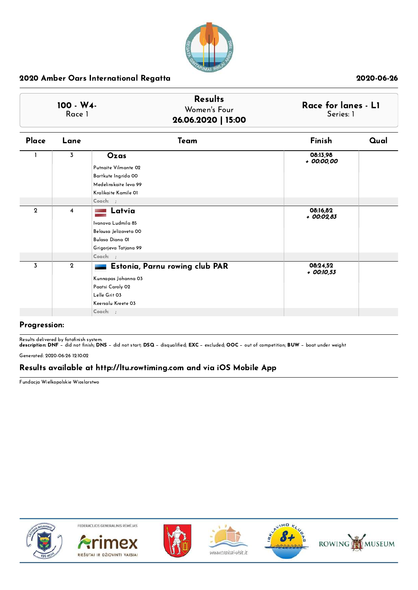

| $100 - W4$<br>Race 1 | <b>Results</b><br>Women's Four<br>26.06.2020   15:00 | Race for lanes - L1<br>Series: 1 |
|----------------------|------------------------------------------------------|----------------------------------|
|                      |                                                      |                                  |

| Place          | Lane           | Team                           | Finish                   | Qual |
|----------------|----------------|--------------------------------|--------------------------|------|
|                | 3              | Ozas                           | 08:13,98<br>+ 00:00,00   |      |
|                |                | Putnaite Vilmante 02           |                          |      |
|                |                | Bartkute Ingrida 00            |                          |      |
|                |                | Medelinskaite leva 99          |                          |      |
|                |                | Kralikaite Kamile 01           |                          |      |
|                |                | $Coach:$ ;                     |                          |      |
| $\overline{2}$ | $\overline{4}$ | Latvia                         | 08:16,82<br>+ 00:02,83   |      |
|                |                | Ivanova Ludmila 85             |                          |      |
|                |                | Belousa Jelizaveta 00          |                          |      |
|                |                | Bulasa Diana 01                |                          |      |
|                |                | Grigorjeva Tatjana 99          |                          |      |
|                |                | Coach: ;                       |                          |      |
| 3              | $\mathbf{2}$   | Estonia, Parnu rowing club PAR | 08:24,52<br>$+$ 00:10,53 |      |
|                |                | Kunnapas Johanna 03            |                          |      |
|                |                | Paatsi Caroly 02               |                          |      |
|                |                | Lelle Grit 03                  |                          |      |
|                |                | Keersalu Kreete 03             |                          |      |
|                |                | Coach: ;                       |                          |      |
|                |                |                                |                          |      |

### Progression:

Results delivered by fotofinish system.<br>**description: DNF** − did not finish; **DNS** − did not start; **DSQ** − disqualified; **EXC** − excluded; **OOC** − out of competition; **BUW** − boat under weight Generated: 2020-06-26 12:10:02

## Results available at http://ltu.rowtiming.com and via iOS Mobile App

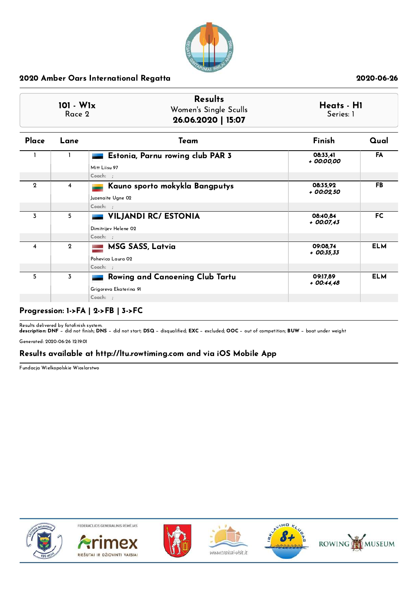

| $101 - W1x$<br>Race 2 |                | <b>Results</b><br>Women's Single Sculls<br>26.06.2020   15:07   | Heats - H1<br>Series: 1  |            |
|-----------------------|----------------|-----------------------------------------------------------------|--------------------------|------------|
| Place                 | Lane           | Team                                                            | Finish                   | Qual       |
|                       |                | Estonia, Parnu rowing club PAR 3<br>Mitt Liisu 97               | 08:33.41<br>+ 00:00,00   | FA         |
| $\mathbf{2}$          | $\overline{4}$ | Coach: ;<br>Kauno sporto mokykla Bangputys<br>Juzenaite Ugne 02 | 08:35.92<br>+ 00:02,50   | FB.        |
| $\overline{3}$        | 5              | Coach: ;<br>VILJANDI RC/ ESTONIA                                | 08:40,84<br>$+00:07,43$  | <b>FC</b>  |
|                       |                | Dimitrijev Helene 02<br>Coach: :                                |                          |            |
| 4                     | $\overline{2}$ | <b>MSG SASS, Latvia</b><br>Pohevica Laura 02<br>Coach: ;        | 09:08.74<br>$+$ 00:35,33 | <b>ELM</b> |
| 5                     | $\overline{3}$ | Rowing and Canoening Club Tartu<br>Grigoreva Ekaterina 91       | 09:17.89<br>$+00:44.48$  | <b>ELM</b> |
|                       |                | Coach: ;                                                        |                          |            |

## Progression: 1->FA | 2->FB | 3->FC

Results delivered by fotofinish system.<br>**description: DNF** − did not finish; **DNS** − did not start; **DSQ** − disqualified; **EXC** − excluded; **OOC** − out of competition; **BUW** − boat under weight

Generated: 2020-06-26 12:19:01

## Results available at http://ltu.rowtiming.com and via iOS Mobile App

Fundacja Wielkopolskie Wioslarstwo











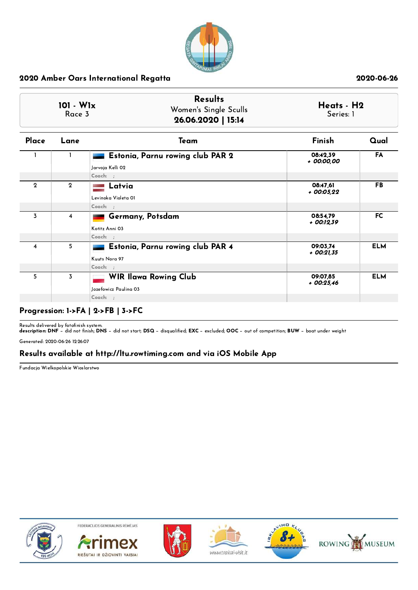

| 101 - W1x<br>Race 3     |                         | <b>Results</b><br>Women's Single Sculls<br>26.06.2020   15:14    | Heats - H2<br>Series: 1  |            |
|-------------------------|-------------------------|------------------------------------------------------------------|--------------------------|------------|
| Place                   | Lane                    | Team                                                             | Finish                   | Qual       |
|                         | ı                       | Estonia, Parnu rowing club PAR 2<br>Jarvoja Kelli 02<br>Coach: ; | 08:42,39<br>+ 00:00,00   | <b>FA</b>  |
| $\mathbf{2}$            | $\mathbf{2}$            | Latvia<br>Levinoka Violeta 01                                    | 08:47.61<br>$+00:05.22$  | FB         |
|                         |                         | Coach: ;                                                         |                          |            |
| $\overline{\mathbf{3}}$ | $\overline{\mathbf{4}}$ | <b>Germany, Potsdam</b><br>Kotitz Anni 03                        | 08:54.79<br>$+$ 00:12,39 | <b>FC</b>  |
|                         |                         | Coach: ;                                                         |                          |            |
| $\overline{\bf 4}$      | 5                       | Estonia, Parnu rowing club PAR 4<br>Kuuts Nora 97                | 09:03,74<br>$+$ 00:21,35 | <b>ELM</b> |
|                         |                         | Coach: ;                                                         |                          |            |
| 5                       | $\overline{3}$          | <b>WIR Ilawa Rowing Club</b><br>Jozefowicz Paulina 03            | 09:07.85<br>$+00:25,46$  | <b>ELM</b> |
|                         |                         | Coach: ;                                                         |                          |            |

## Progression: 1->FA | 2->FB | 3->FC

Results delivered by fotofinish system.<br>**description: DNF** − did not finish; **DNS** − did not start; **DSQ** − disqualified; **EXC** − excluded; **OOC** − out of competition; **BUW** − boat under weight

Generated: 2020-06-26 12:26:07

## Results available at http://ltu.rowtiming.com and via iOS Mobile App

Fundacja Wielkopolskie Wioslarstwo











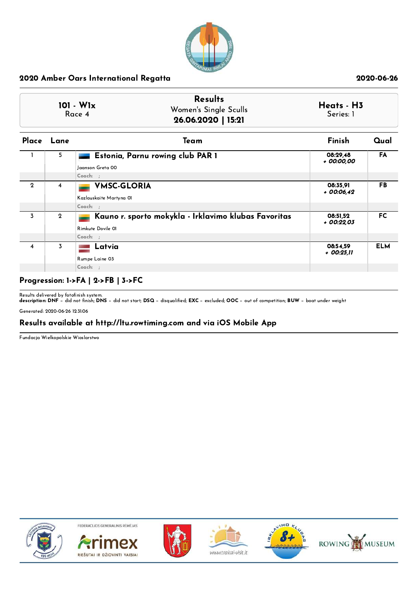

|                         |                | <b>Results</b><br>$101 - W1x$<br>Women's Single Sculls<br>Race 4<br>26.06.2020   15:21 | Heats - H3<br>Series: 1 |            |
|-------------------------|----------------|----------------------------------------------------------------------------------------|-------------------------|------------|
|                         | Place Lane     | Team                                                                                   | Finish                  | Qual       |
|                         | 5              | Estonia, Parnu rowing club PAR 1<br>Jaanson Greta 00<br>$Coach:$ ;                     | 08:29,48<br>+ 00:00,00  | FA         |
| $\mathbf 2$             | 4              | <b>VMSC-GLORIA</b><br>Kazlauskaite Martyna 01<br>Coach: ;                              | 08:35,91<br>$+00:06,42$ | <b>FB</b>  |
| 3                       | $\overline{2}$ | Kauno r. sporto mokykla - Irklavimo klubas Favoritas<br>Rimkute Dovile 01<br>Coach: ;  | 08:51,52<br>$+00:22.03$ | <b>FC</b>  |
| $\overline{\mathbf{4}}$ | 3              | Latvia<br>Rumpe Laine 03<br>Coach: ;                                                   | 08:54,59<br>+ 00:25,11  | <b>ELM</b> |

## Progression: 1->FA | 2->FB | 3->FC

Results delivered by fotofinish system.<br>**description: DNF** − did not finish; **DNS** − did not start; **DSQ** − disqualified; **EXC** − excluded; **OOC** − out of competition; **BUW** − boat under weight

Generated: 2020-06-26 12:31:06

## Results available at http://ltu.rowtiming.com and via iOS Mobile App

Fundacja Wielkopolskie Wioslarstwo











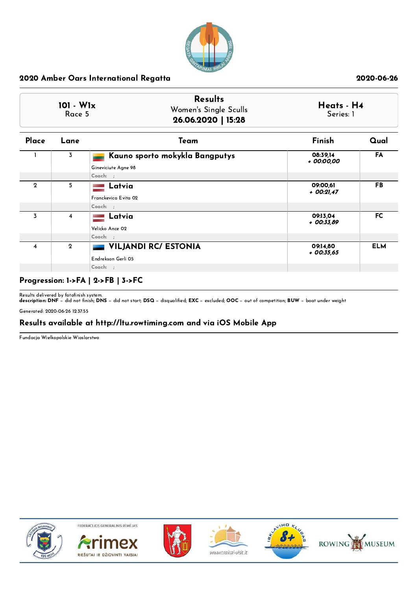

| $101 - W1x$<br>Race 5 |                         | <b>Results</b><br>Women's Single Sculls<br>26.06.2020   15:28 | Heats - H4<br>Series: 1  |            |
|-----------------------|-------------------------|---------------------------------------------------------------|--------------------------|------------|
| Place                 | Lane                    | Team                                                          | Finish                   | Qual       |
|                       | 3                       | Kauno sporto mokykla Bangputys<br>Gineviciute Agne 98         | 08:39,14<br>+ 00:00,00   | FA         |
|                       |                         | Coach: ;                                                      |                          |            |
| $\mathbf{2}$          | 5                       | Latvia<br>Franckevica Evita 02<br>Coach: ;                    | 09:00,61<br>$+$ 00:21,47 | <b>FB</b>  |
|                       |                         |                                                               |                          |            |
| 3                     | $\overline{\mathbf{4}}$ | Latvia<br>Velicko Ance 02                                     | 09:13.04<br>$+$ 00:33,89 | <b>FC</b>  |
|                       |                         | Coach: ;                                                      |                          |            |
| 4                     | $\mathbf{2}$            | VILJANDI RC/ ESTONIA<br>Endrekson Gerli 05                    | 09:14,80<br>$+$ 00:35,65 | <b>ELM</b> |
|                       |                         | Coach: ;                                                      |                          |            |

# Progression: 1->FA | 2->FB | 3->FC

Results delivered by fotofinish system.<br>**description: DNF** − did not finish; **DNS** − did not start; **DSQ** − disqualified; **EXC** − excluded; **OOC** − out of competition; **BUW** − boat under weight

Generated: 2020-06-26 12:37:55

## Results available at http://ltu.rowtiming.com and via iOS Mobile App

Fundacja Wielkopolskie Wioslarstwo











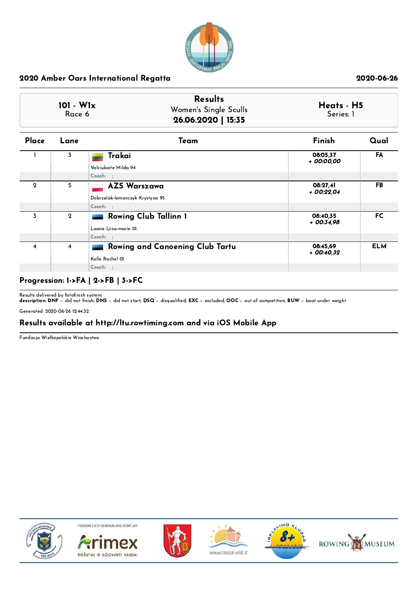

| $101 - W1x$<br>Race 6 |                         | <b>Results</b><br>Women's Single Sculls<br>26.06.2020   15:35 | Heats - H5<br>Series: 1 |            |  |
|-----------------------|-------------------------|---------------------------------------------------------------|-------------------------|------------|--|
| Place                 | Lane                    | Team                                                          | Finish                  | Qual       |  |
|                       | 3                       | Trakai                                                        | 08:05,37<br>+ 00:00,00  | FA         |  |
|                       |                         | Valciukaite Milda 94<br>$Coach:$ ;                            |                         |            |  |
| $\mathbf 2$           | 5                       | <b>AZS Warszawa</b>                                           | 08:27,41<br>$+00:22.04$ | <b>FB</b>  |  |
|                       |                         | Dobrzelak-lemanczyk Krystyna 95<br>Coach: ;                   |                         |            |  |
| 3                     | $\mathbf{2}$            | <b>Rowing Club Tallinn 1</b><br>-<br>Laane Liisa-marie 01     | 08:40.35<br>$+00:34.98$ | FC.        |  |
|                       |                         | Coach: ;                                                      |                         |            |  |
| 4                     | $\overline{\mathbf{4}}$ | Rowing and Canoening Club Tartu<br>Kollo Rachel 01            | 08:45,69<br>$+00:40.32$ | <b>ELM</b> |  |
|                       |                         | Coach: ;                                                      |                         |            |  |

# Progression: 1->FA | 2->FB | 3->FC

Results delivered by fotofinish system.<br>**description: DNF** − did not finish; **DNS** − did not start; **DSQ** − disqualified; **EXC** − excluded; **OOC** − out of competition; **BUW** − boat under weight

Generated: 2020-06-26 12:44:32

## Results available at http://ltu.rowtiming.com and via iOS Mobile App

Fundacja Wielkopolskie Wioslarstwo











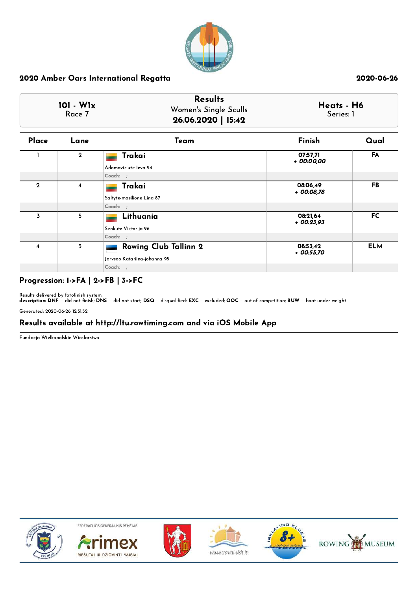

| 101 - W1x<br>Race 7 |                | <b>Results</b><br>Women's Single Sculls<br>26.06.2020   15:42 |                          | Heats - H6<br>Series: 1 |
|---------------------|----------------|---------------------------------------------------------------|--------------------------|-------------------------|
| Place               | Lane           | Team                                                          | Finish                   | Qual                    |
|                     | $\overline{2}$ | Trakai<br>Adomaviciute Ieva 94                                | 07:57,71<br>+ 00:00,00   | FA                      |
|                     |                | $Coach:$ ;                                                    |                          |                         |
| $\mathbf 2$         | 4              | Trakai                                                        | 08:06,49<br>+ 00:08,78   | <b>FB</b>               |
|                     |                | Saltyte-masilione Lina 87<br>Coach: ;                         |                          |                         |
| 3                   | 5              | Lithuania<br>Senkute Viktorija 96                             | 08:21,64<br>$+00:23.93$  | FC                      |
|                     |                | Coach: ;                                                      |                          |                         |
| 4                   | 3              | <b>Rowing Club Tallinn 2</b><br>Jarvsoo Katariina-johanna 98  | 08:53,42<br>$+$ 00:55,70 | <b>ELM</b>              |
|                     |                | $Coach:$ ;                                                    |                          |                         |

# Progression: 1->FA | 2->FB | 3->FC

Results delivered by fotofinish system.<br>**description: DNF** − did not finish; **DNS** − did not start; **DSQ** − disqualified; **EXC** − excluded; **OOC** − out of competition; **BUW** − boat under weight

Generated: 2020-06-26 12:51:52

## Results available at http://ltu.rowtiming.com and via iOS Mobile App

Fundacja Wielkopolskie Wioslarstwo











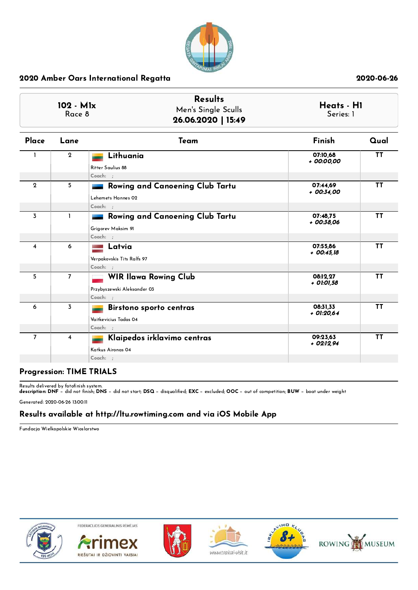

| 102 - M1x<br>Race 8 |                | <b>Results</b><br>Men's Single Sculls<br>26.06.2020   15:49             | Heats - H1<br>Series: 1  |           |
|---------------------|----------------|-------------------------------------------------------------------------|--------------------------|-----------|
| Place               | Lane           | Team                                                                    | Finish                   | Qual      |
|                     | $\mathbf{2}$   | Lithuania<br>Ritter Saulius 88<br>Coach: ;                              | 07:10.68<br>+ 00:00,00   | <b>TT</b> |
| $\overline{2}$      | 5              | Rowing and Canoening Club Tartu<br>Lehemets Hannes 02<br>Coach: ;       | 07:44.69<br>$+00:34,00$  | <b>TT</b> |
| $\overline{3}$      | $\mathbf{1}$   | Rowing and Canoening Club Tartu<br>Grigorev Maksim 91<br>Coach: :       | 07:48.75<br>+ 00:38.06   | <b>TT</b> |
| 4                   | 6              | Latvia<br>Verpakovskis Tits Ralfs 97<br>Coach: ;                        | 07:55.86<br>$+00:45.18$  | <b>TT</b> |
| 5                   | $\overline{7}$ | <b>WIR Ilawa Rowing Club</b><br>Przybyszewski Aleksander 03<br>Coach: ; | 08:12.27<br>+ 01:01,58   | <b>TT</b> |
| 6                   | 3              | <b>Birstono sporto centras</b><br>Vaitkevicius Tadas 04<br>Coach: ;     | 08:31,33<br>$+$ 01:20,64 | <b>TT</b> |
| $\overline{7}$      | 4              | Klaipedos irklavimo centras<br>Katkus Aironas 04<br>Coach: ;<br>.       | 09:23.63<br>$+02:12.94$  | <b>TT</b> |

### Progression: TIME TRIALS

Results delivered by fotofinish system.<br>**description: DNF** − did not finish; **DNS** − did not start; **DSQ** − disqualified; **EXC** − excluded; **OOC** − out of competition; **BUW** − boat under weight

Generated: 2020-06-26 13:00:11

## Results available at http://ltu.rowtiming.com and via iOS Mobile App

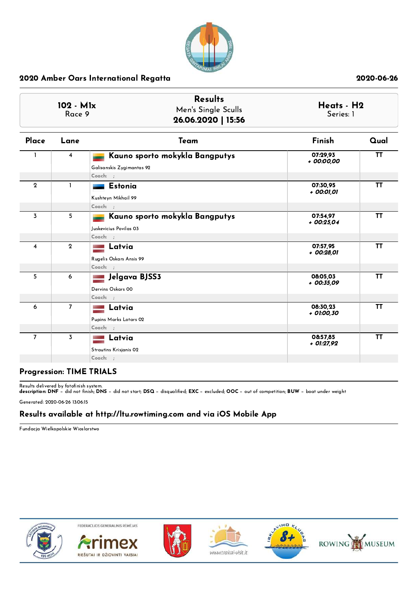

| 102 - M1x<br>Race 9 |                         | <b>Results</b><br>Men's Single Sculls<br>26.06.2020   15:56             | Heats - H2<br>Series: 1 |           |
|---------------------|-------------------------|-------------------------------------------------------------------------|-------------------------|-----------|
| Place               | Lane                    | Team                                                                    | Finish                  | Qual      |
|                     | $\overline{4}$          | Kauno sporto mokykla Bangputys<br>Galisanskis Zygimantas 92<br>Coach: ; | 07:29,93<br>+ 00:00,00  | <b>TT</b> |
| $\overline{2}$      | 1                       | <b>Estonia</b><br>Kushteyn Mikhail 99<br>Coach: ;                       | 07:30,95<br>+ 00:01,01  | <b>TT</b> |
| $\overline{3}$      | 5                       | Kauno sporto mokykla Bangputys<br>Juskevicius Povilas 03<br>Coach: :    | 07:54,97<br>$+00:25,04$ | <b>TT</b> |
| 4                   | $\mathbf{2}$            | Latvia<br>Rugelis Oskars Ansis 99<br>Coach: ;                           | 07:57,95<br>+ 00:28,01  | <b>TT</b> |
| 5                   | 6                       | Jelgava BJSS3<br>Dervins Oskars 00<br>Coach: ;                          | 08:05.03<br>$+00:35.09$ | <b>TT</b> |
| 6                   | $\overline{7}$          | Latvia<br>Pupins Marks Lotars 02<br>Coach: ;                            | 08:30,23<br>+ 01:00,30  | <b>TT</b> |
| $\overline{7}$      | $\overline{\mathbf{3}}$ | Latvia<br>Strautins Krisjanis 02<br>Coach: ;                            | 08:57,85<br>+ 01:27,92  | <b>TT</b> |

### Progression: TIME TRIALS

Results delivered by fotofinish system.<br>**description: DNF** − did not finish; **DNS** − did not start; **DSQ** − disqualified; **EXC** − excluded; **OOC** − out of competition; **BUW** − boat under weight

Generated: 2020-06-26 13:06:15

## Results available at http://ltu.rowtiming.com and via iOS Mobile App

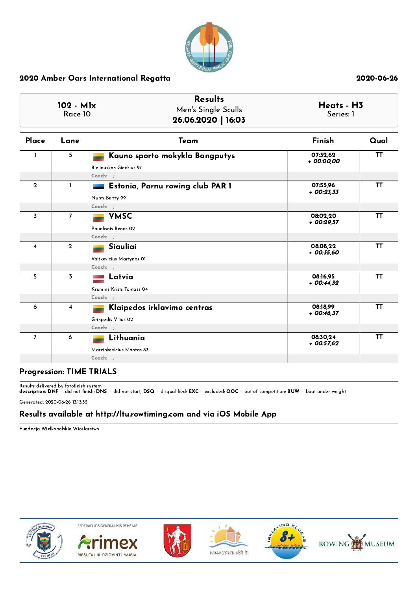

| 102 - M1x<br>Race 10 |                         | <b>Results</b><br>Men's Single Sculls<br>26.06.2020   16:03           | Series: 1                | Heats - H3 |  |
|----------------------|-------------------------|-----------------------------------------------------------------------|--------------------------|------------|--|
| Place                | Lane                    | Team                                                                  | Finish                   | Qual       |  |
|                      | 5                       | Kauno sporto mokykla Bangputys<br>Bieliauskas Giedrius 97<br>Coach: ; | 07:32,62<br>+ 00:00,00   | <b>TT</b>  |  |
| $\mathbf{2}$         | 1                       | Estonia, Parnu rowing club PAR 1<br>Nurm Bertty 99<br>Coach: ;        | 07:55,96<br>$+00:23.33$  | <b>TT</b>  |  |
| $\overline{3}$       | $\overline{7}$          | <b>VMSC</b><br>Paunksnis Benas 02<br>Coach: ;                         | 08:02,20<br>$+00:29.57$  | ΤT         |  |
| $\overline{4}$       | $\mathbf{2}$            | Siauliai<br>Vaitkevicius Martynas OI<br>Coach: ;                      | 08:08,22<br>$+00:35.60$  | <b>TT</b>  |  |
| 5                    | $\overline{3}$          | Latvia<br>Krumins Krists Tomass 04<br>Coach: ;                        | 08:16.95<br>$+00:44.32$  | <b>TT</b>  |  |
| 6                    | $\overline{\mathbf{4}}$ | Klaipedos irklavimo centras<br>Grikpedis Vilius 02<br>Coach: ;        | 08:18.99<br>$+$ 00:46,37 | <b>TT</b>  |  |
| $\overline{7}$       | 6                       | Lithuania<br>Marcinkevicius Mantas 83<br>Coach: ;                     | 08:30.24<br>$+00:57,62$  | <b>TT</b>  |  |

### Progression: TIME TRIALS

Results delivered by fotofinish system.<br>**description: DNF** − did not finish; **DNS** − did not start; **DSQ** − disqualified; **EXC** − excluded; **OOC** − out of competition; **BUW** − boat under weight

Generated: 2020-06-26 13:13:35

# Results available at http://ltu.rowtiming.com and via iOS Mobile App

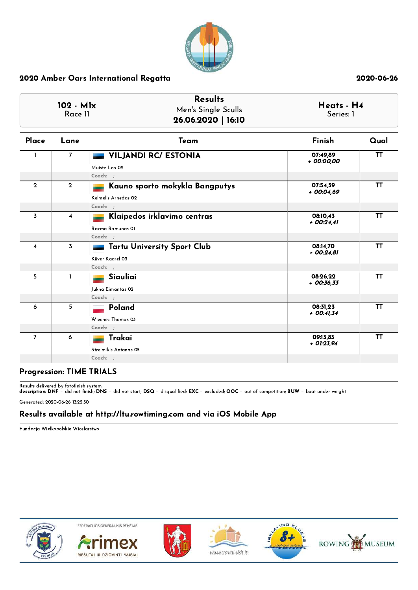

| 102 - M1x<br>Race 11 |                         | <b>Results</b><br>Men's Single Sculls<br>26.06.2020   16:10        | Heats - H4<br>Series: 1  |           |
|----------------------|-------------------------|--------------------------------------------------------------------|--------------------------|-----------|
| Place                | Lane                    | Team                                                               | Finish                   | Qual      |
|                      | $\overline{7}$          | <b>VILJANDI RC/ ESTONIA</b><br>Muiste Leo 02<br>Coach: ;           | 07:49,89<br>+ 00:00,00   | <b>TT</b> |
| $\overline{2}$       | $\overline{2}$          | Kauno sporto mokykla Bangputys<br>Kelmelis Arnedas 02<br>Coach: :  | 07:54,59<br>$+00:04.69$  | <b>TT</b> |
| $\overline{3}$       | $\overline{\mathbf{4}}$ | Klaipedos irklavimo centras<br>Razma Ramunas OI<br>Coach: ;        | 08:10.43<br>$+00:24.41$  | TT        |
| $\overline{4}$       | 3                       | <b>Tartu University Sport Club</b><br>Kiiver Kaarel 03<br>Coach: ; | 08:14,70<br>$+00:24.81$  | <b>TT</b> |
| 5                    | 1                       | Siauliai<br>Jukna Eimantas 02<br>Coach: ;                          | 08:26.22<br>$+$ 00:36,33 | <b>TT</b> |
| 6                    | 5                       | Poland<br>Wiechec Thomas 03<br>Coach: ;                            | 08:31,23<br>$+$ 00:41,34 | TT        |
| $\overline{7}$       | 6                       | Trakai<br>Streimikis Antanas 05<br>Coach: ;                        | 09:13,83<br>$+$ 01:23,94 | <b>TT</b> |

## Progression: TIME TRIALS

Results delivered by fotofinish system.<br>**description: DNF** − did not finish; **DNS** − did not start; **DSQ** − disqualified; **EXC** − excluded; **OOC** − out of competition; **BUW** − boat under weight

Generated: 2020-06-26 13:25:50

## Results available at http://ltu.rowtiming.com and via iOS Mobile App

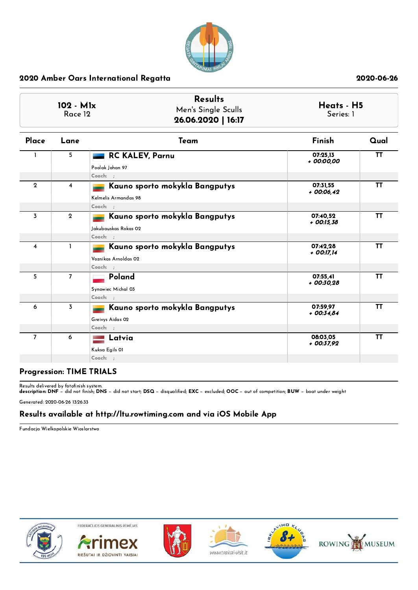

| 102 - M1x<br>Race 12 |                | <b>Results</b><br>Men's Single Sculls<br>26.06.2020   16:17        | Heats - H5<br>Series: 1  |           |  |
|----------------------|----------------|--------------------------------------------------------------------|--------------------------|-----------|--|
| Place                | Lane           | Team                                                               | Finish                   | Qual      |  |
|                      | 5              | <b>RC KALEV, Parnu</b><br>Poolak Johan 97<br>Coach: ;              | 07:25,13<br>+ 00:00,00   | <b>TT</b> |  |
| $\mathbf{2}$         | $\overline{4}$ | Kauno sporto mokykla Bangputys<br>Kelmelis Armandas 98<br>Coach: ; | 07:31.55<br>$+00:06,42$  | <b>TT</b> |  |
| $\overline{3}$       | $\mathbf{2}$   | Kauno sporto mokykla Bangputys<br>Jakubauskas Rokas 02<br>Coach: : | 07:40.52<br>$+$ 00:15,38 | <b>TT</b> |  |
| $\overline{4}$       | $\mathbf{I}$   | Kauno sporto mokykla Bangputys<br>Voznikas Arnoldas 02<br>Coach: ; | 07:42,28<br>+ 00:17,14   | <b>TT</b> |  |
| 5                    | $\overline{7}$ | Poland<br>Synowiec Michal 03<br>Coach: :                           | 07:55.41<br>$+00:30.28$  | <b>TT</b> |  |
| 6                    | $\overline{3}$ | Kauno sporto mokykla Bangputys<br>Greivys Aidas 02<br>Coach: ;     | 07:59.97<br>$+00:34.84$  | <b>TT</b> |  |
| $\overline{7}$       | 6              | Latvia<br>Kuksa Egils 01<br>Coach: ;                               | 08:03,05<br>+ 00:37,92   | <b>TT</b> |  |

### Progression: TIME TRIALS

Results delivered by fotofinish system.<br>**description: DNF** − did not finish; **DNS** − did not start; **DSQ** − disqualified; **EXC** − excluded; **OOC** − out of competition; **BUW** − boat under weight

Generated: 2020-06-26 13:26:33

## Results available at http://ltu.rowtiming.com and via iOS Mobile App

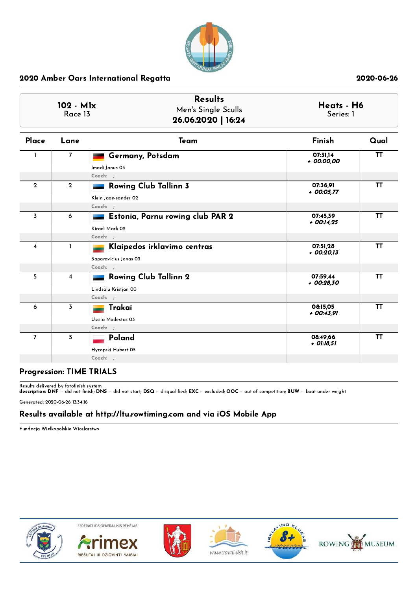

| 102 - M1x<br>Race 13    |                         | <b>Results</b><br>Men's Single Sculls<br>26.06.2020   16:24      | Heats - H6<br>Series: 1  |           |  |
|-------------------------|-------------------------|------------------------------------------------------------------|--------------------------|-----------|--|
| Place                   | Lane                    | Team                                                             | Finish                   | Qual      |  |
|                         | $\overline{7}$          | Germany, Potsdam<br>Imadi Janus 03<br>Coach: ;                   | 07:31,14<br>+ 00:00,00   | <b>TT</b> |  |
| $\mathbf{2}$            | $\mathbf{2}$            | <b>Rowing Club Tallinn 3</b><br>Klein Jaan-sander 02<br>Coach: : | 07:36,91<br>+ 00:05,77   | <b>TT</b> |  |
| $\overline{3}$          | 6                       | Estonia, Parnu rowing club PAR 2<br>Kiradi Mark 02<br>Coach: :   | 07:45,39<br>$+$ 00:14,25 | <b>TT</b> |  |
| $\overline{\mathbf{4}}$ | $\mathbf{I}$            | Klaipedos irklavimo centras<br>Saparavicius Jonas 03<br>Coach: ; | 07:51,28<br>$+00:20.13$  | <b>TT</b> |  |
| 5                       | $\overline{\mathbf{4}}$ | <b>Rowing Club Tallinn 2</b><br>Lindsalu Kristjan 00<br>Coach: ; | 07:59.44<br>+ 00:28,30   | <b>TT</b> |  |
| 6                       | $\overline{3}$          | Trakai<br>Uscila Modestas 03<br>Coach: ;                         | 08:15,05<br>+ 00:43,91   | TT        |  |
| $\overline{7}$          | 5                       | Poland<br>Hyzopski Hubert 05<br>Coach: ;                         | 08:49,66<br>+ 01:18,51   | <b>TT</b> |  |

# Progression: TIME TRIALS

Results delivered by fotofinish system.<br>**description: DNF** − did not finish; **DNS** − did not start; **DSQ** − disqualified; **EXC** − excluded; **OOC** − out of competition; **BUW** − boat under weight

Generated: 2020-06-26 13:34:16

### Results available at http://ltu.rowtiming.com and via iOS Mobile App

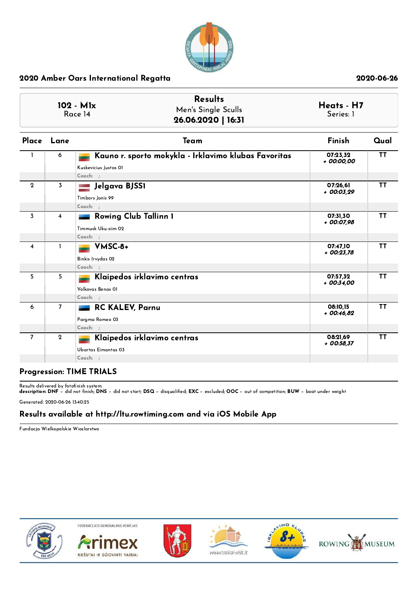

| 102 - M1x<br>Race 14 |                         | <b>Results</b><br>Men's Single Sculls<br>26.06.2020   16:31                               | Heats - H7<br>Series: 1 |           |  |
|----------------------|-------------------------|-------------------------------------------------------------------------------------------|-------------------------|-----------|--|
|                      | Place Lane              | Team                                                                                      | <b>Finish</b>           | Qual      |  |
| $\mathbf{1}$         | 6                       | Kauno r. sporto mokykla - Irklavimo klubas Favoritas<br>Kuskevicius Justas OI<br>Coach: ; | 07:23.32<br>+ 00:00,00  | <b>TT</b> |  |
| $\overline{2}$       | 3                       | Jelgava BJSS1<br>Timbors Janis 99<br>Coach: ;                                             | 07:26,61<br>+ 00:03,29  | <b>TT</b> |  |
| 3                    | $\overline{\mathbf{4}}$ | <b>Rowing Club Tallinn 1</b><br>Timmusk Uku-siim 02<br>Coach: ;                           | 07:31,30<br>+ 00:07,98  | <b>TT</b> |  |
| $\overline{4}$       | 1                       | VMSC-8+<br>Binkis Irvydas 02<br>Coach: ;                                                  | 07:47.10<br>$+00:23.78$ | ΤT        |  |
| 5                    | 5                       | Klaipedos irklavimo centras<br>Volkovas Benas O1<br>Coach: ;                              | 07:57.32<br>+ 00:34.00  | <b>TT</b> |  |
| 6                    | $\overline{7}$          | RC KALEV, Parnu<br>Pargma Romeo 03<br>Coach: ;                                            | 08:10.15<br>$+00:46.82$ | <b>TT</b> |  |
| $\overline{7}$       | $\mathbf 2$             | Klaipedos irklavimo centras<br>Ubartas Eimantas 03<br>Coach: ;                            | 08:21,69<br>$+00:58,37$ | TΤ        |  |

#### Progression: TIME TRIALS

Results delivered by fotofinish system.<br>**description: DNF** − did not finish; **DNS** − did not start; **DSQ** − disqualified; **EXC** − excluded; **OOC** − out of competition; **BUW** − boat under weight

Generated: 2020-06-26 13:40:25

# Results available at http://ltu.rowtiming.com and via iOS Mobile App

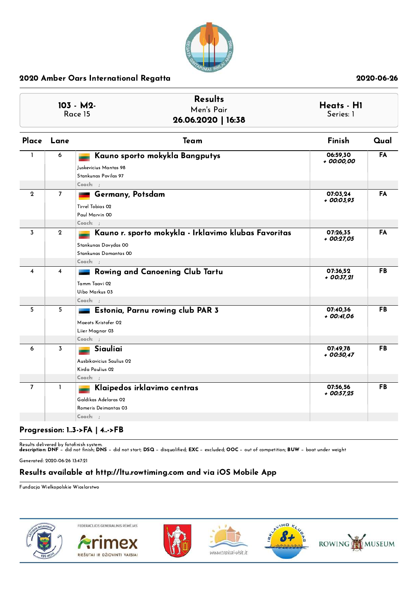

| <b>Results</b><br>$103 - M2$<br>Men's Pair<br>Race 15<br>26.06.2020   16:38 |                | Heats - H1<br>Series: 1                                                                                             |                          |      |
|-----------------------------------------------------------------------------|----------------|---------------------------------------------------------------------------------------------------------------------|--------------------------|------|
|                                                                             | Place Lane     | Team                                                                                                                | Finish                   | Qual |
| $\mathbf{I}$                                                                | 6              | Kauno sporto mokykla Bangputys<br>Juskevicius Mantas 98<br>Stankunas Povilas 97<br>$Coach:$ ;                       | 06:59,30<br>+ 00:00,00   | FA   |
| $\mathbf{2}$                                                                | $\overline{7}$ | Germany, Potsdam<br>Tirrel Tobias 02<br>Paul Marvin 00<br>$Coach:$ :                                                | 07:03,24<br>+ 00:03,93   | FA   |
| 3                                                                           | $\mathbf 2$    | Kauno r. sporto mokykla - Irklavimo klubas Favoritas<br>Stankunas Dovydas 00<br>Stankunas Domantas 00<br>$Coach:$ ; | 07:26,35<br>+ 00:27,05   | FA   |
| $\overline{4}$                                                              | 4              | <b>Rowing and Canoening Club Tartu</b><br>Tamm Taavi 02<br>Uibo Markus 03<br>$Coach:$ ;                             | 07:36,52<br>$+$ 00:37,21 | FB   |
| 5                                                                           | 5              | Estonia, Parnu rowing club PAR 3<br>Maeots Kristofer 02<br>Liier Magnar 03<br>$Coach:$ ;                            | 07:40.36<br>+ 00:41,06   | FB   |
| 6                                                                           | 3              | Siauliai<br>Ausbikavicius Saulius 02<br>Kirda Paulius 02<br>$Coach:$ ;                                              | 07:49,78<br>$+00:50.47$  | FB   |
| $\overline{7}$                                                              | $\mathbf{I}$   | Klaipedos irklavimo centras<br>Galdikas Adelaras 02<br>Romeris Deimantas 03<br>$Coach:$ ;                           | 07:56,56<br>$+$ 00:57,25 | FB   |

# Progression: 1..3->FA | 4..->FB

Results delivered by fotofinish system.<br>**description: DNF** − did not finish; **DNS** − did not start; **DSQ** − disqualified; **EXC** − excluded; **OOC** − out of competition; **BUW** − boat under weight

Generated: 2020-06-26 13:47:21

## Results available at http://ltu.rowtiming.com and via iOS Mobile App

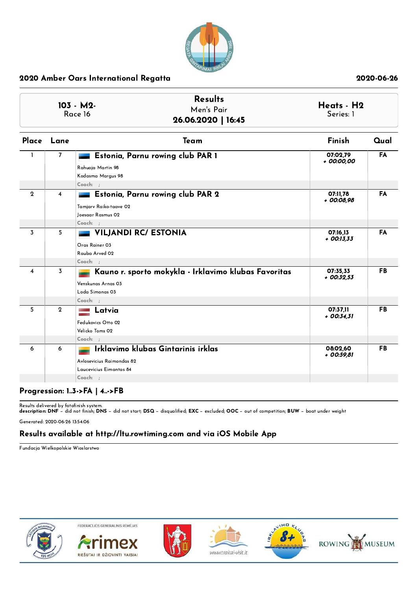

| <b>Results</b><br>103 - M2-<br>Men's Pair<br>Race 16<br>26.06.2020   16:45 |                | Heats - H2<br>Series: 1                                                                                     |                          |           |
|----------------------------------------------------------------------------|----------------|-------------------------------------------------------------------------------------------------------------|--------------------------|-----------|
| Place                                                                      | Lane           | Team                                                                                                        | Finish                   | Qual      |
| $\mathbf{1}$                                                               | $\overline{ }$ | Estonia, Parnu rowing club PAR 1<br>Rahuoja Martin 98<br>Kodasma Margus 98<br>Coach: ;                      | 07:02,79<br>+ 00:00,00   | <b>FA</b> |
| $\overline{2}$                                                             | 4              | Estonia, Parnu rowing club PAR 2<br>Tamjarv Raiko-taave 02<br>Joesaar Rasmus 02<br>Coach: ;                 | 07:11.78<br>+ 00:08,98   | <b>FA</b> |
| 3                                                                          | 5              | <b>VILJANDI RC/ ESTONIA</b><br>Oras Rainer 03<br>Rauba Arved 02<br>Coach: ;                                 | 07:16,13<br>$+$ 00:13,33 | <b>FA</b> |
| $\overline{\mathbf{4}}$                                                    | 3              | Kauno r. sporto mokykla - Irklavimo klubas Favoritas<br>Venskunas Arnas 03<br>Loda Simonas 03<br>$Coach:$ ; | 07:35,33<br>$+00:32.53$  | <b>FB</b> |
| 5                                                                          | $\mathbf{2}$   | Latvia<br>Fedukovics Otto 02<br>Velicko Toms 02<br>Coach: ;                                                 | 07:37,11<br>$+00:34.31$  | <b>FB</b> |
| 6                                                                          | 6              | Irklavimo klubas Gintarinis irklas<br>Avlosevicius Raimondas 82<br>Laucevicius Eimantas 84<br>$Coach:$ ;    | 08:02,60<br>+ 00:59,81   | <b>FB</b> |

# Progression: 1..3->FA | 4..->FB

Results delivered by fotofinish system.<br>**description: DNF** − did not finish; **DNS** − did not start; **DSQ** − disqualified; **EXC** − excluded; **OOC** − out of competition; **BUW** − boat under weight

Generated: 2020-06-26 13:54:06

## Results available at http://ltu.rowtiming.com and via iOS Mobile App

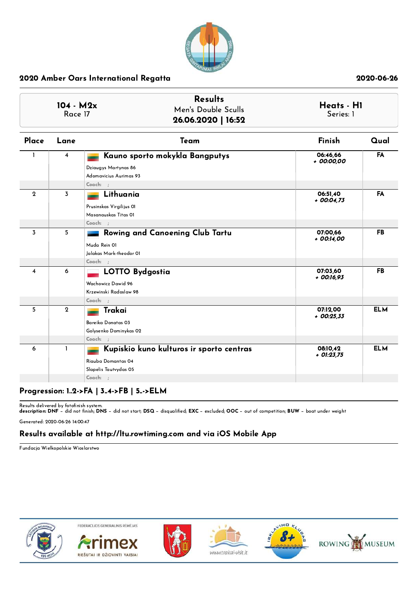

| $104 - M2x$<br>Race 17 |              | <b>Results</b><br>Men's Double Sculls<br>26.06.2020   16:52                                         | Heats - H1<br>Series: 1  |            |
|------------------------|--------------|-----------------------------------------------------------------------------------------------------|--------------------------|------------|
| Place                  | Lane         | Team                                                                                                | Finish                   | Qual       |
|                        | 4            | Kauno sporto mokykla Bangputys<br>Dziaugys Martynas 86<br>Adomavicius Aurimas 93<br>Coach: :        | 06:46,66<br>+ 00:00,00   | <b>FA</b>  |
| $\mathbf{2}$           | 3            | Lithuania<br>Prusinskas Virgilijus OI<br>Masanauskas Titas 01<br>Coach: ;                           | 06:51,40<br>$+$ 00:04,73 | <b>FA</b>  |
| 3                      | 5            | Rowing and Canoening Club Tartu<br>Muda Rein 01<br>Jalakas Mark-theodor OI<br>Coach: ;              | 07:00.66<br>+ 00:14,00   | <b>FB</b>  |
| $\overline{4}$         | 6            | <b>LOTTO Bydgostia</b><br>Wachowicz Dawid 96<br>Krzewinski Radoslaw 98<br>Coach: ;                  | 07:03,60<br>$+$ 00:16,93 | <b>FB</b>  |
| 5                      | $\mathbf{2}$ | Trakai<br>Bareika Donatas 03<br>Golysenko Dominykas 02<br>Coach: ;                                  | 07:12,00<br>$+$ 00:25,33 | <b>ELM</b> |
| 6                      | $\mathbf{I}$ | Kupiskio kuno kulturos ir sporto centras<br>Riauba Domantas 04<br>Slapelis Tautvydas 05<br>Coach: ; | 08:10,42<br>$+$ 01:23,75 | <b>ELM</b> |

# Progression: 1..2->FA | 3..4->FB | 5..->ELM

Results delivered by fotofinish system.<br>**description: DNF** − did not finish; **DNS** − did not start; **DSQ** − disqualified; **EXC** − excluded; **OOC** − out of competition; **BUW** − boat under weight

Generated: 2020-06-26 14:00:47

## Results available at http://ltu.rowtiming.com and via iOS Mobile App

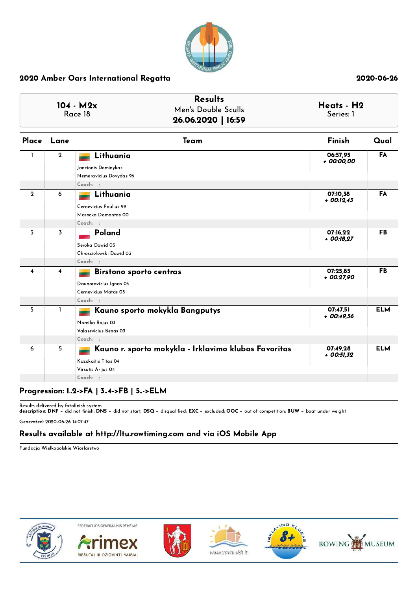

| $104 - M2x$<br>Race 18  |                | <b>Results</b><br>Men's Double Sculls<br>26.06.2020   16:59                                                   | Heats - H2<br>Series: 1  |            |
|-------------------------|----------------|---------------------------------------------------------------------------------------------------------------|--------------------------|------------|
|                         | Place Lane     | Team                                                                                                          | Finish                   | Qual       |
| $\mathbf{I}$            | $\mathbf{2}$   | Lithuania<br>Jancionis Dominykas<br>Nemeravicius Dovydas 96<br>Coach: ;                                       | 06:57,95<br>+ 00:00,00   | <b>FA</b>  |
| $\mathbf 2$             | 6              | Lithuania<br>Cernevicius Paulius 99<br>Marocka Domantas 00<br>Coach: :                                        | 07:10,38<br>$+$ 00:12,43 | FA         |
| 3                       | $\overline{3}$ | Poland<br>Seroka Dawid 03<br>Chroscielewski Dawid 03<br>Coach: ;                                              | 07:16.22<br>$+$ 00:18,27 | <b>FB</b>  |
| $\overline{\mathbf{4}}$ | $\overline{4}$ | <b>Birstono sporto centras</b><br>Daunoravicius Ignas 05<br>Cernevicius Matas 05<br>Coach: :                  | 07:25,85<br>+ 00:27,90   | <b>FB</b>  |
| 5                       | 1              | Kauno sporto mokykla Bangputys<br>Noreika Rojus 03<br>Valasevicius Benas 03<br>Coach: ;                       | 07:47,51<br>$+00:49.56$  | <b>ELM</b> |
| 6                       | 5              | Kauno r. sporto mokykla - Irklavimo klubas Favoritas<br>Kazokaitis Titas 04<br>Virsutis Arijus 04<br>Coach: ; | 07:49,28<br>$+$ 00:51,32 | <b>ELM</b> |

# Progression: 1..2->FA | 3..4->FB | 5..->ELM

Results delivered by fotofinish system.<br>**description: DNF** − did not finish; **DNS** − did not start; **DSQ** − disqualified; **EXC** − excluded; **OOC** − out of competition; **BUW** − boat under weight

Generated: 2020-06-26 14:07:47

## Results available at http://ltu.rowtiming.com and via iOS Mobile App

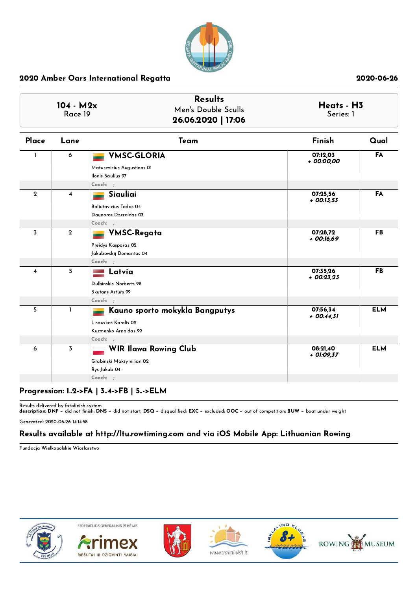

| $104 - M2x$<br>Race 19  |                         | <b>Results</b><br>Men's Double Sculls<br>26.06.2020   17:06                                  | Heats - H3<br>Series: 1  |            |  |
|-------------------------|-------------------------|----------------------------------------------------------------------------------------------|--------------------------|------------|--|
| Place                   | Lane                    | Team                                                                                         | Finish                   | Qual       |  |
|                         | 6                       | <b>VMSC-GLORIA</b><br>Matusevicius Augustinas 01<br>Ilonis Saulius 97<br>Coach: ;            | 07:12,03<br>+ 00:00,00   | FA         |  |
| $\mathbf{2}$            | $\overline{\mathbf{4}}$ | Siauliai<br><b>Baliutavicius Tadas 04</b><br>Daunoras Dzeraldas 03<br>Coach: :               | 07:25,56<br>$+$ 00:13,53 | FA         |  |
| 3                       | $\mathbf{2}$            | <b>VMSC-Regata</b><br>Preidys Kasparas 02<br>Jakubovskij Domantas 04<br>Coach: :             | 07:28.72<br>+ 00:16,69   | <b>FB</b>  |  |
| $\overline{\mathbf{4}}$ | 5                       | Latvia<br>Dulbinskis Norberts 98<br>Skutans Arturs 99<br>Coach: ;                            | 07:35,26<br>$+00:23.23$  | <b>FB</b>  |  |
| 5                       | $\mathbf{I}$            | Kauno sporto mokykla Bangputys<br>Lisauskas Karolis 02<br>Kuzmenko Arnoldas 99<br>$Coach:$ ; | 07:56,34<br>$+$ 00:44,31 | <b>ELM</b> |  |
| 6                       | 3                       | <b>WIR Ilawa Rowing Club</b><br>Grabinski Maksymilian 02<br>Rys Jakub 04<br>$Coach:$ ;       | 08:21,40<br>+ 01:09,37   | <b>ELM</b> |  |

# Progression: 1..2->FA | 3..4->FB | 5..->ELM

Results delivered by fotofinish system.<br>**description: DNF** − did not finish; **DNS** − did not start; **DSQ** − disqualified; **EXC** − excluded; **OOC** − out of competition; **BUW** − boat under weight

Generated: 2020-06-26 14:14:58

### Results available at http://ltu.rowtiming.com and via iOS Mobile App: Lithuanian Rowing

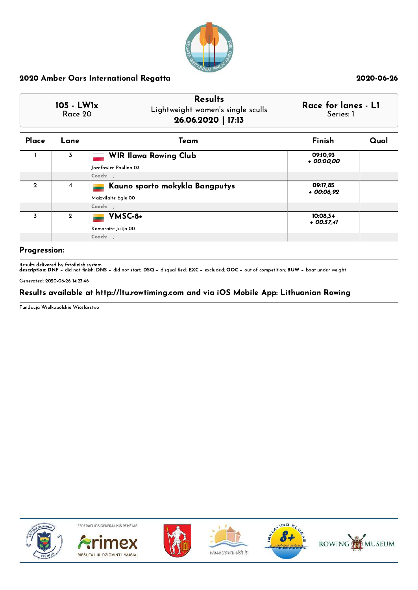

|               | 105 - LW1x<br>Race 20 | <b>Results</b><br>Lightweight women's single sculls<br>26.06.2020   17:13 | Race for lanes - L1<br>Series: 1 |      |
|---------------|-----------------------|---------------------------------------------------------------------------|----------------------------------|------|
| Place         | Lane                  | Team                                                                      | Finish                           | Qual |
|               | 3                     | <b>WIR Ilawa Rowing Club</b><br>lozefowicz Paulina 03                     | 09:10.93<br>+ 00:00.00           |      |
|               |                       | Coach: :                                                                  |                                  |      |
| $\mathcal{Q}$ | 4                     | Kauno sporto mokykla Bangputys<br>Maizvilaite Fale 00                     | 09:17,85<br>+ 00:06,92           |      |

|   | <b>INDIZATIONS</b> LUIS OU       |                         |  |
|---|----------------------------------|-------------------------|--|
|   | Coach:                           |                         |  |
| - | VMSC-8+<br>  Komaraite Julija 00 | 10:08,34<br>$+00:57,41$ |  |
|   | Coach:                           |                         |  |
|   |                                  |                         |  |

### Progression:

Results delivered by fotofinish system.<br>**description: DNF** − did not finish; **DNS** − did not start; **DSQ** − disqualified; **EXC** − excluded; **OOC** − out of competition; **BUW** − boat under weight

Generated: 2020-06-26 14:23:46

## Results available at http://ltu.rowtiming.com and via iOS Mobile App: Lithuanian Rowing

Fundacja Wielkopolskie Wioslarstwo











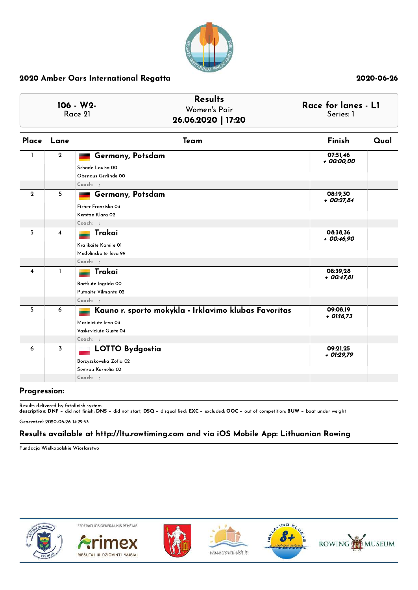

| 106 - W2-<br>Race 21 |                | <b>Results</b><br>Women's Pair<br>26.06.2020   17:20                                                               | Race for lanes - L1<br>Series: 1 |      |  |
|----------------------|----------------|--------------------------------------------------------------------------------------------------------------------|----------------------------------|------|--|
|                      | Place Lane     | Team                                                                                                               | Finish                           | Qual |  |
| $\mathbf{1}$         | $\overline{2}$ | Germany, Potsdam<br>Schade Louisa 00<br>Obenaus Gerlinde 00<br>Coach: :                                            | 07:51,46<br>+ 00:00,00           |      |  |
| $\overline{2}$       | 5              | Germany, Potsdam<br>Ficher Franziska 03<br>Kerstan Klara 02<br>Coach: ;                                            | 08:19,30<br>$+00:27,84$          |      |  |
| 3                    | 4              | Trakai<br>Kralikaite Kamile 01<br>Medelinskaite leva 99<br>Coach: :                                                | 08:38,36<br>$+00:46.90$          |      |  |
| 4                    | $\mathbf{I}$   | Trakai<br>Bartkute Ingrida 00<br>Putnaite Vilmante 02<br>Coach: :                                                  | 08:39,28<br>+ 00:47,81           |      |  |
| 5                    | 6              | Kauno r. sporto mokykla - Irklavimo klubas Favoritas<br>Mariniciute leva 03<br>Vaskeviciute Guste 04<br>$Coach:$ ; | 09:08,19<br>$+$ 01:16,73         |      |  |
| 6                    | 3              | <b>LOTTO Bydgostia</b><br>Borzyszkowska Zofia 02<br>Semrau Kornelia 02<br>$Coach:$ ;                               | 09:21,25<br>+ 01:29,79           |      |  |

### Progression:

Results delivered by fotofinish system.<br>**description: DNF** − did not finish; **DNS** − did not start; **DSQ** − disqualified; **EXC** − excluded; **OOC** − out of competition; **BUW** − boat under weight

Generated: 2020-06-26 14:29:53

### Results available at http://ltu.rowtiming.com and via iOS Mobile App: Lithuanian Rowing

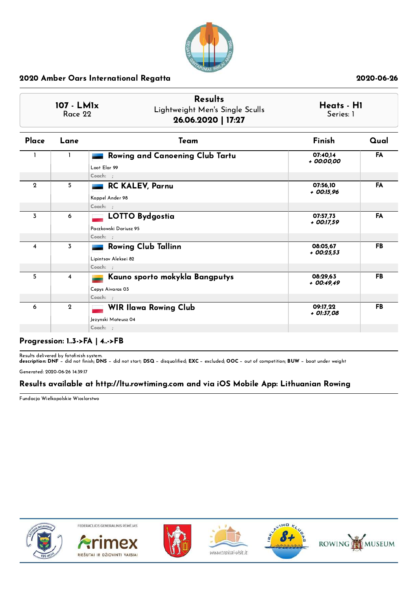

|                | 107 - LM1x<br>Race 22 | <b>Results</b><br>Lightweight Men's Single Sculls<br>26.06.2020   17:27 | Heats - H1<br>Series: 1  |           |
|----------------|-----------------------|-------------------------------------------------------------------------|--------------------------|-----------|
| Place          | Lane                  | Team                                                                    | Finish                   | Qual      |
|                |                       | Rowing and Canoening Club Tartu<br>Loot Elar 99<br>Coach: ;             | 07:40.14<br>+ 00:00.00   | <b>FA</b> |
| $\mathbf{Q}$   | 5                     | RC KALEV, Parnu<br>Koppel Ander 98<br>Coach: ;                          | 07:56.10<br>$+$ 00:15,96 | FA        |
| 3              | 6                     | <b>LOTTO Bydgostia</b><br>Paczkowski Dariusz 95<br>Coach: :             | 07:57.73<br>$+$ 00:17.59 | FA        |
| $\overline{4}$ | 3                     | <b>Rowing Club Tallinn</b><br>Lipintsov Aleksei 82<br>Coach: :          | 08:05.67<br>$+00:25.53$  | <b>FB</b> |
| 5              | $\overline{4}$        | Kauno sporto mokykla Bangputys<br>Cepys Aivaras 03<br>Coach: :          | 08:29.63<br>$+00:49.49$  | <b>FB</b> |
| 6              | $\mathbf{2}$          | <b>WIR Ilawa Rowing Club</b><br>Jezynski Mateusz 04<br>$Coach:$ :       | 09:17.22<br>+ 01:37,08   | <b>FB</b> |

### Progression: 1..3->FA | 4..->FB

Results delivered by fotofinish system.<br>**description: DNF** − did not finish; **DNS** − did not start; **DSQ** − disqualified; **EXC** − excluded; **OOC** − out of competition; **BUW** − boat under weight

Generated: 2020-06-26 14:39:17

# Results available at http://ltu.rowtiming.com and via iOS Mobile App: Lithuanian Rowing

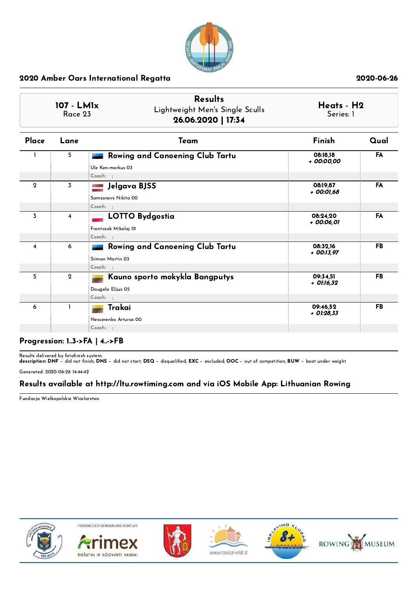

|                  | 107 - LM1x<br>Race 23 | <b>Results</b><br>Lightweight Men's Single Sculls<br>26.06.2020   17:34 | Heats - H2<br>Series: 1  |           |
|------------------|-----------------------|-------------------------------------------------------------------------|--------------------------|-----------|
| Place            | Lane                  | Team                                                                    | Finish                   | Qual      |
|                  | 5                     | Rowing and Canoening Club Tartu<br>Ule Ken-markus 03                    | 08:18.18<br>+ 00:00,00   | <b>FA</b> |
| $\mathbf{2}$     | 3                     | Coach: ;<br>Jelgava BJSS<br>Samsonovs Nikita 00                         | 08:19.87<br>+ 00:01,68   | FA        |
| $\overline{3}$   | $\overline{4}$        | Coach: ;<br><b>LOTTO Bydgostia</b><br>Frontczak Mikolaj 01<br>Coach: :  | 08:24.20<br>+ 00:06,01   | FA        |
| $\boldsymbol{4}$ | 6                     | Rowing and Canoening Club Tartu<br>Siiman Martin 03<br>Coach: ;         | 08:32.16<br>$+$ 00:13,97 | FB        |
| 5                | $\overline{2}$        | Kauno sporto mokykla Bangputys<br>Daugela Elijus 05<br>Coach: ;         | 09:34,51<br>$+$ 01:16,32 | <b>FB</b> |
| 6                | $\mathbf{I}$          | Trakai<br>Nescerenko Arturas 00<br>Coach: ;                             | 09:46.52<br>+ 01:28,33   | <b>FB</b> |

### Progression: 1..3->FA | 4..->FB

Results delivered by fotofinish system.<br>**description: DNF** − did not finish; **DNS** − did not start; **DSQ** − disqualified; **EXC** − excluded; **OOC** − out of competition; **BUW** − boat under weight

Generated: 2020-06-26 14:44:42

# Results available at http://ltu.rowtiming.com and via iOS Mobile App: Lithuanian Rowing

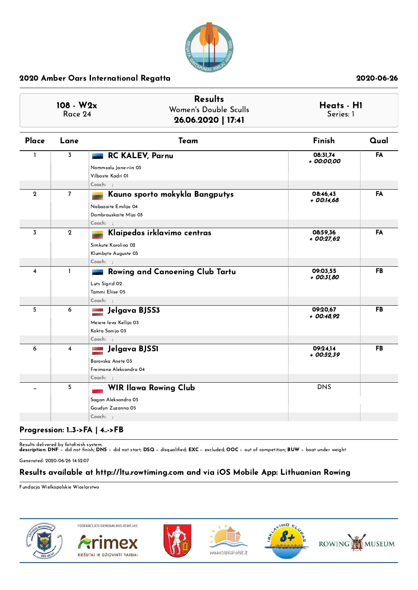

|              | 108 - W2x<br>Race 24    | <b>Results</b><br>Women's Double Sculls<br>26.06.2020   17:41                                   | Heats - H1<br>Series: 1 |           |
|--------------|-------------------------|-------------------------------------------------------------------------------------------------|-------------------------|-----------|
| Place        | Lane                    | Team                                                                                            | Finish                  | Qual      |
| 1            | 3                       | <b>RC KALEV, Parnu</b><br>Nommsalu Jane-riin 03<br>Vilbaste Kadri 01<br>Coach: :                | 08:31,74<br>+ 00:00,00  | FA        |
| $\mathbf{2}$ | $\overline{7}$          | Kauno sporto mokykla Bangputys<br>Nabazaite Emilija 04<br>Dambrauskaite Mija 03<br>Coach: ;     | 08:46.43<br>+ 00:14,68  | FA        |
| 3            | $\mathbf 2$             | Klaipedos irklavimo centras<br>Simkute Karolina 02<br>Klumbyte Auguste 03<br>Coach: ;           | 08:59,36<br>$+00:27.62$ | FA        |
| 4            | $\mathbf{I}$            | <b>Rowing and Canoening Club Tartu</b><br>Luts Sigrid 02<br>Tammi Eliise 05<br>Coach: :         | 09:03.55<br>+ 00:31,80  | FB        |
| 5            | 6                       | Jelgava BJSS3<br>and come<br>Meiere leva Kellija 03<br>Kokta Sanija 03<br>Coach: ;              | 09:20,67<br>+ 00:48,92  | <b>FB</b> |
| 6            | $\overline{\mathbf{4}}$ | Jelgava BJSS1<br>e de cine<br>Cartes<br>Barovska Anete 03<br>Freimane Aleksandra 04<br>Coach: ; | 09:24,14<br>+ 00:52,39  | FB        |
|              | 5                       | <b>WIR Ilawa Rowing Club</b><br>Sagan Aleksandra 05<br>Gaudyn Zuzanna 05<br>$Coach:$ ;          | <b>DNS</b>              |           |

# Progression: 1..3->FA | 4..->FB

Results delivered by fotofinish system.<br>**description: DNF** − did not finish; **DNS** − did not start; **DSQ** − disqualified; **EXC** − excluded; **OOC** − out of competition; **BUW** − boat under weight

Generated: 2020-06-26 14:52:07

## Results available at http://ltu.rowtiming.com and via iOS Mobile App: Lithuanian Rowing

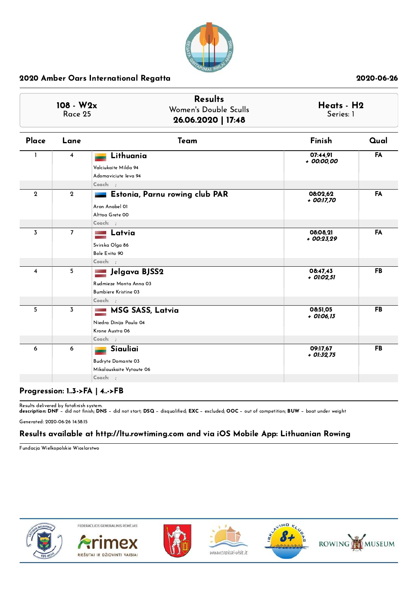

|                | 108 - W2x<br>Race 25    | <b>Results</b><br>Women's Double Sculls<br>26.06.2020   17:48                    | Heats - H2<br>Series: 1  |           |
|----------------|-------------------------|----------------------------------------------------------------------------------|--------------------------|-----------|
| Place          | Lane                    | Team                                                                             | Finish                   | Qual      |
| 1              | $\overline{\mathbf{4}}$ | Lithuania<br>Valciukaite Milda 94<br>Adomaviciute Ieva 94<br>Coach: ;            | 07:44,91<br>+ 00:00,00   | FA        |
| $\mathbf{2}$   | $\mathbf{2}$            | Estonia, Parnu rowing club PAR<br>Aron Anabel 01<br>Alttoa Grete 00<br>Coach: ;  | 08:02,62<br>+ 00:17,70   | FA        |
| $\overline{3}$ | $\overline{7}$          | Latvia<br>Svirska Olga 86<br>Bole Evita 90<br>Coach: ;                           | 08:08,21<br>$+00:23.29$  | FA        |
| 4              | 5                       | Jelgava BJSS2<br>Rudmieze Monta Anna 03<br>Bumbiere Kristine 03<br>Coach: ;      | 08:47,43<br>+ 01:02,51   | <b>FB</b> |
| 5              | 3                       | <b>MSG SASS, Latvia</b><br>Niedra Dinija Paula 04<br>Krone Austra 06<br>Coach: ; | 08:51,05<br>+ 01:06,13   | FB        |
| 6              | 6                       | Siauliai<br><b>Budryte Domante 03</b><br>Mikalauskaite Vytaute 06<br>Coach: ;    | 09:17,67<br>$+$ 01:32,75 | FB        |

# Progression: 1..3->FA | 4..->FB

Results delivered by fotofinish system.<br>**description: DNF** − did not finish; **DNS** − did not start; **DSQ** − disqualified; **EXC** − excluded; **OOC** − out of competition; **BUW** − boat under weight

Generated: 2020-06-26 14:58:15

### Results available at http://ltu.rowtiming.com and via iOS Mobile App: Lithuanian Rowing

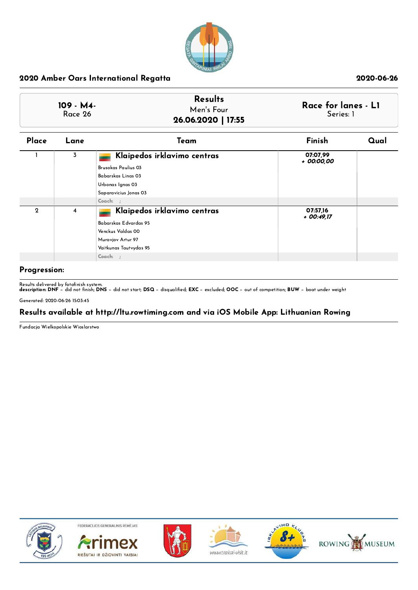

| 109 - M4-<br>Race 26 | <b>Results</b><br>Men's Four<br>26.06.2020   17:55 | Race for lanes - L1<br>Series: 1 |
|----------------------|----------------------------------------------------|----------------------------------|
|                      |                                                    |                                  |

| Place        | Lane           | Team                        | Finish                  | Qual |
|--------------|----------------|-----------------------------|-------------------------|------|
|              | 3              | Klaipedos irklavimo centras | 07:07,99<br>+ 00:00,00  |      |
|              |                | Brusokas Paulius 03         |                         |      |
|              |                | Babarskas Linas 03          |                         |      |
|              |                | Urbonas Ignas 03            |                         |      |
|              |                | Saparavicius Jonas 03       |                         |      |
|              |                | Coach: ;                    |                         |      |
| $\mathbf{2}$ | $\overline{4}$ | Klaipedos irklavimo centras | 07:57,16<br>$+00:49.17$ |      |
|              |                | Babarskas Edvardas 95       |                         |      |
|              |                | Venckus Valdas 00           |                         |      |
|              |                | Muravjov Artur 97           |                         |      |
|              |                | Vaitkunas Tautvydas 95      |                         |      |
|              |                | Coach: ;                    |                         |      |

### Progression:

Results delivered by fotofinish system.<br>**description: DNF** − did not finish; **DNS** − did not start; **DSQ** − disqualified; **EXC** − excluded; **OOC** − out of competition; **BUW** − boat under weight

Generated: 2020-06-26 15:03:45

### Results available at http://ltu.rowtiming.com and via iOS Mobile App: Lithuanian Rowing

Fundacja Wielkopolskie Wioslarstwo











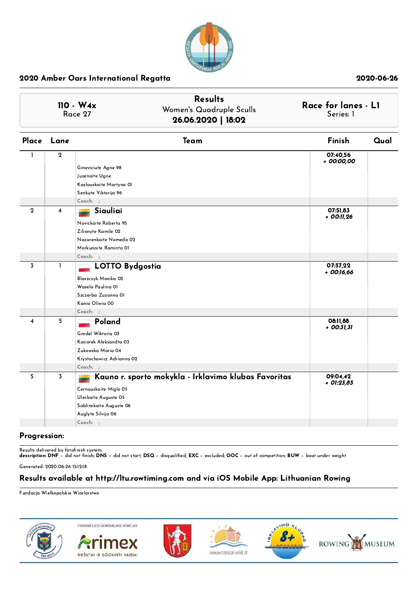

|                |              | $110 - W4x$<br>Race 27                                                                                                                                             | <b>Results</b><br>Women's Quadruple Sculls<br>26.06.2020   18:02 | Race for lanes - L1<br>Series: 1 |      |
|----------------|--------------|--------------------------------------------------------------------------------------------------------------------------------------------------------------------|------------------------------------------------------------------|----------------------------------|------|
| Place          | Lane         | Team                                                                                                                                                               |                                                                  | Finish                           | Qual |
| $\mathbf{I}$   | $\mathbf{2}$ | Gineviciute Agne 98<br>Juzenaite Ugne<br>Kazlauskaite Martyna OI<br>Senkute Viktorija 96<br>$Coach:$ ;                                                             |                                                                  | 07:40,56<br>+ 00:00,00           |      |
| $\mathbf{2}$   | 4            | Siauliai<br>Navickaite Roberta 95<br>Zilionyte Kamile 02<br>Nazarenkaite Nomeda 02<br>Morkunaite Raminta 01<br>Coach: ;                                            |                                                                  | 07:51,83<br>+ 00:11,26           |      |
| $\overline{3}$ | 1            | <b>LOTTO Bydgostia</b><br>Blaszczyk Monika 02<br>Wasela Paulina 01<br>Szczerba Zuzanna OI<br>Kania Oliwia 00                                                       |                                                                  | 07:57,22<br>$+$ 00:16,66         |      |
| 4              | 5            | Coach: :<br>Poland<br>Gredel Wiktoria 03<br>Kosiorek Aleksandta 03<br>Zukowska Maria 04<br>Krystochowicz Adrianna 02<br>Coach: ;                                   |                                                                  | 08:11,88<br>$+$ 00:31,31         |      |
| 5              | 3            | Kauno r. sporto mokykla - Irklavimo klubas Favoritas<br>Cernauskaite Migle 05<br>Uleckaite Auguste 05<br>Sablinskaite Auguste 06<br>Auglyte Silvija 06<br>Coach: ; |                                                                  | 09:04,42<br>$+$ 01:23,85         |      |

### Progression:

Results delivered by fotofinish system.<br>**description: DNF** − did not finish; **DNS** − did not start; **DSQ** − disqualified; **EXC** − excluded; **OOC** − out of competition; **BUW** − boat under weight

Generated: 2020-06-26 15:12:18

## Results available at http://ltu.rowtiming.com and via iOS Mobile App: Lithuanian Rowing

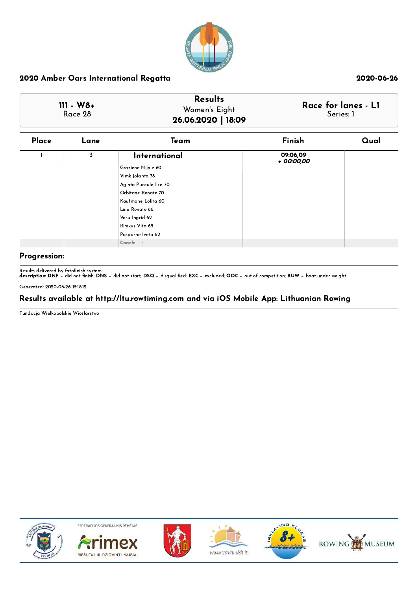

| $111 - W8 +$<br>Race 28 | <b>Results</b><br>Women's Eight<br>26.06.2020   18:09 | Race for lanes - L1<br>Series: 1 |
|-------------------------|-------------------------------------------------------|----------------------------------|
|-------------------------|-------------------------------------------------------|----------------------------------|

| Place | Lane | Team                                                                                                                                                                               | Finish                 | Qual |
|-------|------|------------------------------------------------------------------------------------------------------------------------------------------------------------------------------------|------------------------|------|
|       | 3    | International<br>Graziene Nijole 60<br>Vimk Jolanta 78<br>Aginta Puncule Ilze 70<br>Orbitane Renate 70<br>Kaufmane Lolita 60<br>Line Renate 66<br>Vosu Ingrid 62<br>Rimkus Vita 65 | 09:06,09<br>+ 00:00,00 |      |
|       |      | Pasparne Iveta 62<br>Coach: ;                                                                                                                                                      |                        |      |

## Progression:

Results delivered by fotofinish system.<br>**description: DNF** − did not finish; **DNS** − did not start; **DSQ** − disqualified; **EXC** − excluded; **OOC** − out of competition; **BUW** − boat under weight

Generated: 2020-06-26 15:18:12

## Results available at http://ltu.rowtiming.com and via iOS Mobile App: Lithuanian Rowing

Fundacja Wielkopolskie Wioslarstwo











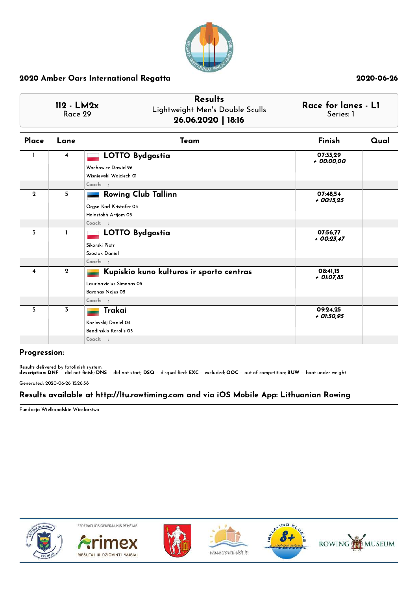

|                | 112 - LM2x<br>Race 29 | <b>Results</b><br>Lightweight Men's Double Sculls<br>26.06.2020   18:16                              | Race for lanes - L1<br>Series: 1 |      |
|----------------|-----------------------|------------------------------------------------------------------------------------------------------|----------------------------------|------|
| Place          | Lane                  | Team                                                                                                 | Finish                           | Qual |
| $\mathbf{I}$   | $\overline{4}$        | <b>LOTTO Bydgostia</b><br>Wachowicz Dawid 96<br>Wisniewski Wojciech OI<br>Coach: ;                   | 07:33,29<br>+ 00:00,00           |      |
| $\mathbf{2}$   | 5                     | <b>Rowing Club Tallinn</b><br>Orgse Karl Kristofer 03<br>Holostohh Artjom 03<br>Coach: ;             | 07:48,54<br>$+$ 00:15,25         |      |
| 3              | $\mathbf{I}$          | <b>LOTTO Bydgostia</b><br>Sikorski Piotr<br>Szostak Daniel<br>Coach: ;                               | 07:56,77<br>$+00:23,47$          |      |
| $\overline{4}$ | $\mathbf{2}$          | Kupiskio kuno kulturos ir sporto centras<br>Laurinavicius Simonas 05<br>Baronas Nojus 05<br>Coach: ; | 08:41,15<br>+ 01:07,85           |      |
| 5              | 3                     | Trakai<br>Kozlovskij Daniel 04<br>Bendinskis Karolis 03<br>Coach: ;                                  | 09:24,25<br>+ 01:50,95           |      |

### Progression:

Results delivered by fotofinish system.<br>**description: DNF** − did not finish; **DNS** − did not start; **DSQ** − disqualified; **EXC** − excluded; **OOC** − out of competition; **BUW** − boat under weight

Generated: 2020-06-26 15:26:58

## Results available at http://ltu.rowtiming.com and via iOS Mobile App: Lithuanian Rowing

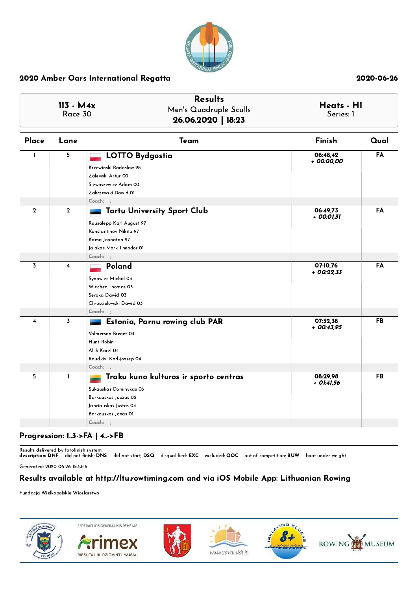

|                         | 113 - M4x<br>Race 30 | <b>Results</b><br>Men's Quadruple Sculls<br>26.06.2020   18:23                                                                                        | Heats - H1<br>Series: 1  |      |
|-------------------------|----------------------|-------------------------------------------------------------------------------------------------------------------------------------------------------|--------------------------|------|
| Place                   | Lane                 | Team                                                                                                                                                  | Finish                   | Qual |
| L                       | 5                    | <b>LOTTO Bydgostia</b><br>Krzewinski Radoslaw 98<br>Zalewski Artur 00<br>Siewaszewicz Adam 00<br>Zakrzewski Dawid 01<br>Coach: ;                      | 06:48,42<br>+ 00:00,00   | FA   |
| $\mathbf{2}$            | $\mathbf 2$          | <b>Tartu University Sport Club</b><br>Ruusalepp Karl August 97<br>Konstantinov Nikita 97<br>Kama Joonatan 97<br>Jalakas Mark Theodor 01<br>$Coach:$ ; | 06:49.73<br>+ 00:01,31   | FA   |
| 3                       | $\overline{4}$       | Poland<br>Synowiec Michal 03<br>Wiechec Thomas 03<br>Seroka Dawid 03<br>Chroscielewski Dawid 03                                                       | 07:10.76<br>$+00:22.33$  | FA   |
| $\overline{\mathbf{4}}$ | 3                    | Coach: ;<br>Estonia, Parnu rowing club PAR<br>Volmerson Brenet 04<br>Hunt Robin<br>Allik Karel 04<br>Raudkivi Karl-joosep 04<br>$Coach:$ ;            | 07:32,38<br>$+$ 00:43,95 | FB   |
| 5                       | $\mathbf{1}$         | Traku kuno kulturos ir sporto centras<br>Sukauskas Dominykas 06<br>Barkauskas Juozas 02<br>Janciauskas Justas 04<br>Barkauskas Jonas OI<br>Coach: ;   | 08:29,98<br>+ 01:41,56   | FB   |

## Progression: 1..3->FA | 4..->FB

Results delivered by fotofinish system.<br>**description: DNF** − did not finish; **DNS** − did not start; **DSQ** − disqualified; **EXC** − excluded; **OOC** − out of competition; **BUW** − boat under weight

Generated: 2020-06-26 15:33:16

## Results available at http://ltu.rowtiming.com and via iOS Mobile App: Lithuanian Rowing

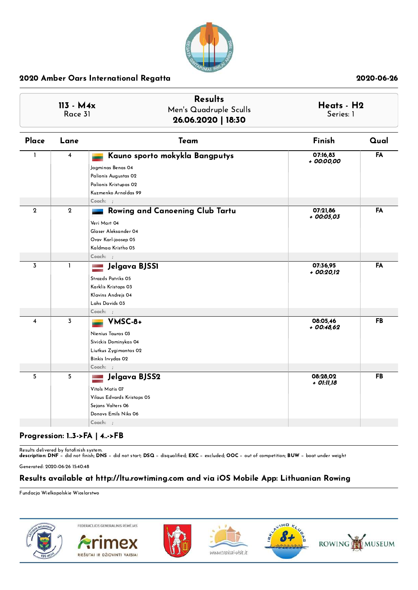

|                         | $113 - M4x$<br>Race 31 | <b>Results</b><br>Men's Quadruple Sculls<br>26.06.2020   18:30                                                                             | Heats - H2<br>Series: 1 |           |
|-------------------------|------------------------|--------------------------------------------------------------------------------------------------------------------------------------------|-------------------------|-----------|
| Place                   | Lane                   | Team                                                                                                                                       | Finish                  | Qual      |
| $\mathbf{I}$            | 4                      | Kauno sporto mokykla Bangputys<br>Jagminas Benas 04<br>Palionis Augustas 02<br>Palionis Kristupas 02<br>Kuzmenko Arnoldas 99<br>$Coach:$ ; | 07:16,83<br>+ 00:00,00  | FA        |
| $\mathbf{2}$            | $\mathbf{2}$           | Rowing and Canoening Club Tartu<br>Veri Mart 04<br>Glaser Aleksander 04<br>Orav Karl-joosep 05<br>Kaldmaa Kristho 05                       | 07:21,86<br>$+00:05,03$ | FA        |
| $\overline{3}$          | 1                      | Coach: ;<br>Jelgava BJSS1                                                                                                                  | 07:36.95                | FA        |
|                         |                        | Strazds Patriks 05<br>Karklis Kristaps 03<br>Klavins Andrejs 04<br>Lahs Davids 03                                                          | + 00:20,12              |           |
| $\overline{\mathbf{4}}$ | 3                      | $Coach:$ ;<br>VMSC-8+                                                                                                                      | 08:05,46                | <b>FB</b> |
|                         |                        | Nienius Tauras 03<br>Sivickis Dominykas 04<br>Liutkus Zygimantas 02<br>Binkis Irvydas 02<br>$Coach:$ ;                                     | $+00:48,62$             |           |
| 5                       | 5                      | Jelgava BJSS2                                                                                                                              | 08:28,02                | FB        |
|                         |                        | Vitols Matis 07<br>Vilaus Edvards Kristaps 05<br>Sejans Valters 06<br>Donovs Emils Niks 06<br>Coach: ;                                     | + 01:11,18              |           |

## Progression: 1..3->FA | 4..->FB

Results delivered by fotofinish system.<br>**description: DNF** − did not finish; **DNS** − did not start; **DSQ** − disqualified; **EXC** − excluded; **OOC** − out of competition; **BUW** − boat under weight

Generated: 2020-06-26 15:40:48

## Results available at http://ltu.rowtiming.com and via iOS Mobile App: Lithuanian Rowing